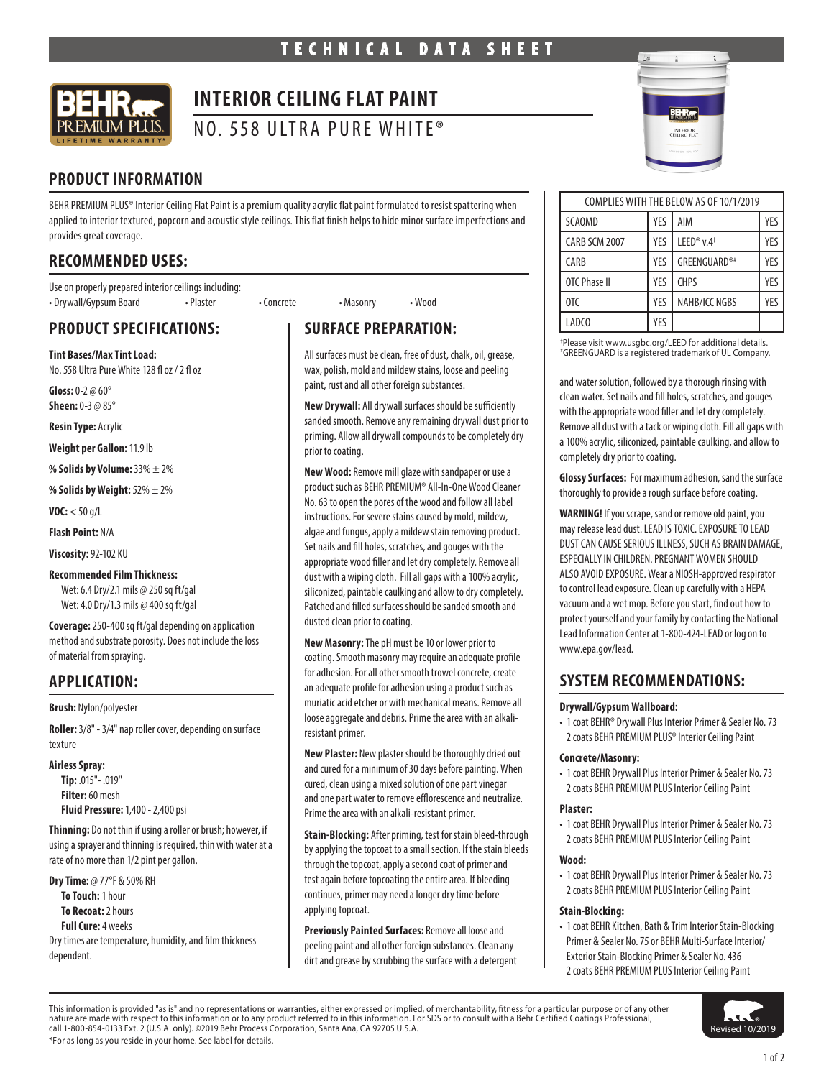

# **INTERIOR CEILING FLAT PAINT**

NO. 558 ULTRA PURE WHITE®

# **PRODUCT INFORMATION**

BEHR PREMIUM PLUS® Interior Ceiling Flat Paint is a premium quality acrylic flat paint formulated to resist spattering when applied to interior textured, popcorn and acoustic style ceilings. This flat finish helps to hide minor surface imperfections and provides great coverage.

# **RECOMMENDED USES:**

Use on properly prepared interior ceilings including: • Drywall/Gypsum Board • Plaster • Concrete • Masonry • Wood

# **PRODUCT SPECIFICATIONS:**

**Tint Bases/Max Tint Load:** No. 558 Ultra Pure White 128 fl oz / 2 fl oz

**Gloss:** 0-2 @ 60° **Sheen:** 0-3 @ 85°

**Resin Type:** Acrylic

**Weight per Gallon:** 11.9 lb

**% Solids by Volume:** 33% ± 2%

**% Solids by Weight:** 52% ± 2%

**VOC:** < 50 g/L

**Flash Point:** N/A

**Viscosity:** 92-102 KU

#### **Recommended Film Thickness:**

Wet: 6.4 Dry/2.1 mils @ 250 sq ft/gal Wet: 4.0 Dry/1.3 mils @ 400 sq ft/gal

**Coverage:** 250-400 sq ft/gal depending on application method and substrate porosity. Does not include the loss of material from spraying.

## **APPLICATION:**

**Brush:** Nylon/polyester

**Roller:** 3/8" - 3/4" nap roller cover, depending on surface texture

**Airless Spray:**

**Tip:** .015"- .019" **Filter:** 60 mesh **Fluid Pressure:** 1,400 - 2,400 psi

**Thinning:** Do not thin if using a roller or brush; however, if using a sprayer and thinning is required, thin with water at a rate of no more than 1/2 pint per gallon.

**Dry Time:** @ 77°F & 50% RH **To Touch:** 1 hour **To Recoat:** 2 hours **Full Cure:** 4 weeks Dry times are temperature, humidity, and film thickness dependent.

# **SURFACE PREPARATION:**

All surfaces must be clean, free of dust, chalk, oil, grease, wax, polish, mold and mildew stains, loose and peeling paint, rust and all other foreign substances.

**New Drywall:** All drywall surfaces should be sufficiently sanded smooth. Remove any remaining drywall dust prior to priming. Allow all drywall compounds to be completely dry prior to coating.

**New Wood:** Remove mill glaze with sandpaper or use a product such as BEHR PREMIUM® All-In-One Wood Cleaner No. 63 to open the pores of the wood and follow all label instructions. For severe stains caused by mold, mildew, algae and fungus, apply a mildew stain removing product. Set nails and fill holes, scratches, and gouges with the appropriate wood filler and let dry completely. Remove all dust with a wiping cloth. Fill all gaps with a 100% acrylic, siliconized, paintable caulking and allow to dry completely. Patched and filled surfaces should be sanded smooth and dusted clean prior to coating.

**New Masonry:** The pH must be 10 or lower prior to coating. Smooth masonry may require an adequate profile for adhesion. For all other smooth trowel concrete, create an adequate profile for adhesion using a product such as muriatic acid etcher or with mechanical means. Remove all loose aggregate and debris. Prime the area with an alkaliresistant primer.

**New Plaster:** New plaster should be thoroughly dried out and cured for a minimum of 30 days before painting. When cured, clean using a mixed solution of one part vinegar and one part water to remove efflorescence and neutralize. Prime the area with an alkali-resistant primer.

**Stain-Blocking:** After priming, test for stain bleed-through by applying the topcoat to a small section. If the stain bleeds through the topcoat, apply a second coat of primer and test again before topcoating the entire area. If bleeding continues, primer may need a longer dry time before applying topcoat.

**Previously Painted Surfaces:** Remove all loose and peeling paint and all other foreign substances. Clean any dirt and grease by scrubbing the surface with a detergent



| COMPLIES WITH THE BELOW AS OF 10/1/2019 |            |                       |     |
|-----------------------------------------|------------|-----------------------|-----|
|                                         |            |                       |     |
| <b>SCAOMD</b>                           | <b>YES</b> | AIM                   | YES |
| CARB SCM 2007                           | YES        | LEED® $v.4^{\dagger}$ | YFS |
| CARB                                    | YES        | GREENGUARD®#          | YFS |
| OTC Phase II                            | YES        | <b>CHPS</b>           | YFS |
| OTC                                     | YES        | NAHB/ICC NGBS         | YFS |
| LADCO                                   | YES        |                       |     |

† Please visit www.usgbc.org/LEED for additional details. # GREENGUARD is a registered trademark of UL Company.

and water solution, followed by a thorough rinsing with clean water. Set nails and fill holes, scratches, and gouges with the appropriate wood filler and let dry completely. Remove all dust with a tack or wiping cloth. Fill all gaps with a 100% acrylic, siliconized, paintable caulking, and allow to completely dry prior to coating.

**Glossy Surfaces:** For maximum adhesion, sand the surface thoroughly to provide a rough surface before coating.

**WARNING!** If you scrape, sand or remove old paint, you may release lead dust. LEAD IS TOXIC. EXPOSURE TO LEAD DUST CAN CAUSE SERIOUS ILLNESS, SUCH AS BRAIN DAMAGE, ESPECIALLY IN CHILDREN. PREGNANT WOMEN SHOULD ALSO AVOID EXPOSURE. Wear a NIOSH-approved respirator to control lead exposure. Clean up carefully with a HEPA vacuum and a wet mop. Before you start, find out how to protect yourself and your family by contacting the National Lead Information Center at 1-800-424-LEAD or log on to www.epa.gov/lead.

## **SYSTEM RECOMMENDATIONS:**

#### **Drywall/Gypsum Wallboard:**

• 1 coat BEHR® Drywall Plus Interior Primer & Sealer No. 73 2 coats BEHR PREMIUM PLUS® Interior Ceiling Paint

#### **Concrete/Masonry:**

• 1 coat BEHR Drywall Plus Interior Primer & Sealer No. 73 2 coats BEHR PREMIUM PLUS Interior Ceiling Paint

#### **Plaster:**

• 1 coat BEHR Drywall Plus Interior Primer & Sealer No. 73 2 coats BEHR PREMIUM PLUS Interior Ceiling Paint

#### **Wood:**

• 1 coat BEHR Drywall Plus Interior Primer & Sealer No. 73 2 coats BEHR PREMIUM PLUS Interior Ceiling Paint

#### **Stain-Blocking:**

• 1 coat BEHR Kitchen, Bath & Trim Interior Stain-Blocking Primer & Sealer No. 75 or BEHR Multi-Surface Interior/ Exterior Stain-Blocking Primer & Sealer No. 436 2 coats BEHR PREMIUM PLUS Interior Ceiling Paint

This information is provided "as is" and no representations or warranties, either expressed or implied, of merchantability, fitness for a particular purpose or of any other nature are made with respect to this information or to any product referred to in this information. For SDS or to consult with a Behr Certified Coatings Professional,<br>call 1-800-854-0133 Ext. 2 (U.S.A. only). ©2019 Behr P

Revised 10/2019